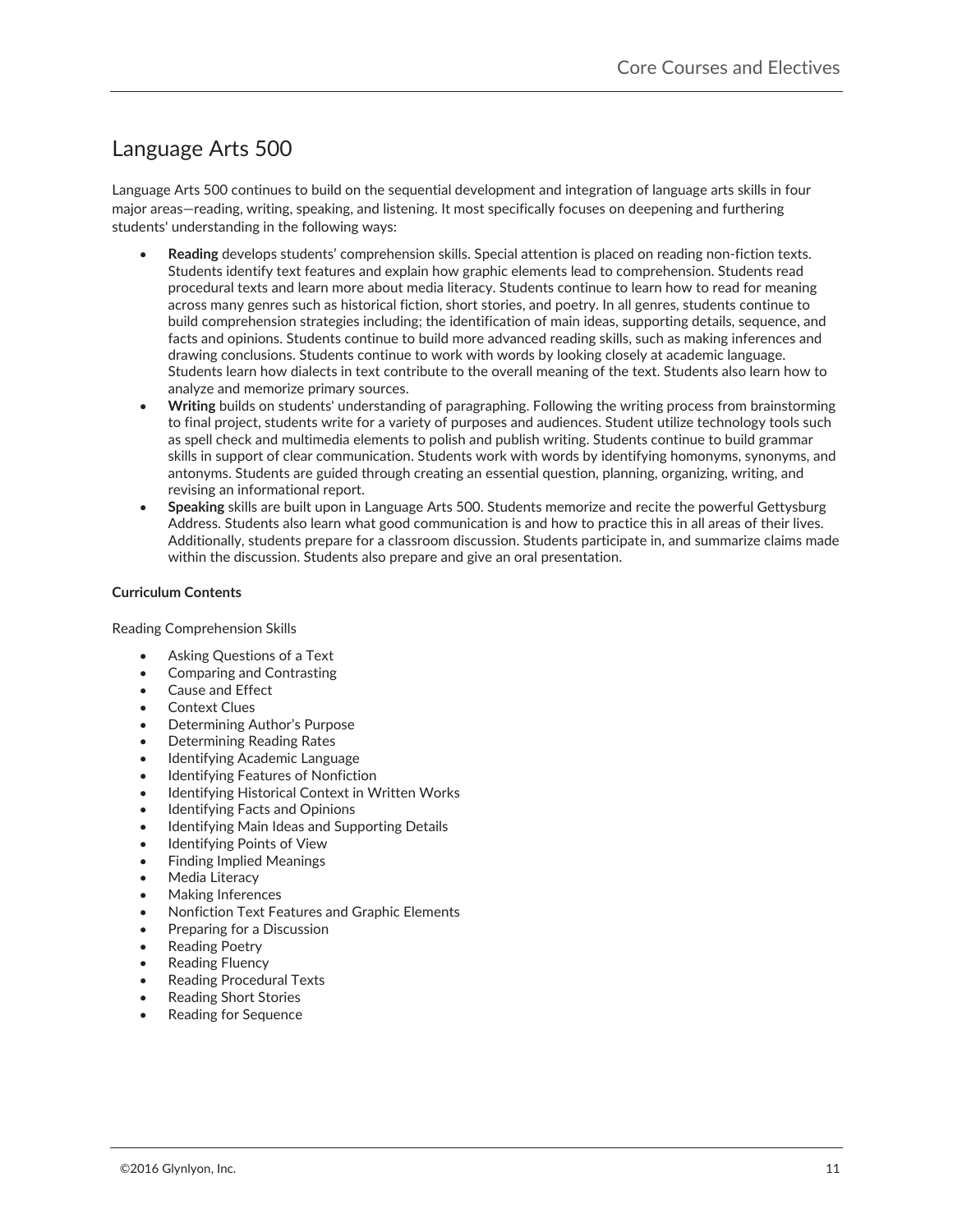# Language Arts 500-

Language Arts 500 continues to build on the sequential development and integration of language arts skills in four major areas—reading, writing, speaking, and listening. It most specifically focuses on deepening and furthering students' understanding in the following ways:

- Reading develops students' comprehension skills. Special attention is placed on reading non-fiction texts. Students identify text features and explain how graphic elements lead to comprehension. Students read procedural texts and learn more about media literacy. Students continue to learn how to read for meaning across many genres such as historical fiction, short stories, and poetry. In all genres, students continue to build comprehension strategies including; the identification of main ideas, supporting details, sequence, and facts and opinions. Students continue to build more advanced reading skills, such as making inferences and drawing conclusions. Students continue to work with words by looking closely at academic language. Students learn how dialects in text contribute to the overall meaning of the text. Students also learn how to analyze and memorize primary sources.
- x **Writing** builds on students' understanding of paragraphing. Following the writing process from brainstorming to final project, students write for a variety of purposes and audiences. Student utilize technology tools such as spell check and multimedia elements to polish and publish writing. Students continue to build grammar skills in support of clear communication. Students work with words by identifying homonyms, synonyms, and antonyms. Students are guided through creating an essential question, planning, organizing, writing, and revising an informational report.
- x **Speaking** skills are built upon in Language Arts 500. Students memorize and recite the powerful Gettysburg Address. Students also learn what good communication is and how to practice this in all areas of their lives. Additionally, students prepare for a classroom discussion. Students participate in, and summarize claims made within the discussion. Students also prepare and give an oral presentation.

## **Curriculum Contents**

Reading Comprehension Skills-

- Asking Questions of a Text
- Comparing and Contrasting
- Cause and Effect
- Context Clues
- Determining Author's Purpose
- Determining Reading Rates
- Identifying Academic Language
- Identifying Features of Nonfiction
- Identifying Historical Context in Written Works
- Identifying Facts and Opinions
- Identifying Main Ideas and Supporting Details
- Identifying Points of View
- Finding Implied Meanings
- Media Literacy
- Making Inferences
- Nonfiction Text Features and Graphic Elements
- Preparing for a Discussion
- **Reading Poetry**
- Reading Fluency
- x Reading Procedural Texts
- Reading Short Stories
- Reading for Sequence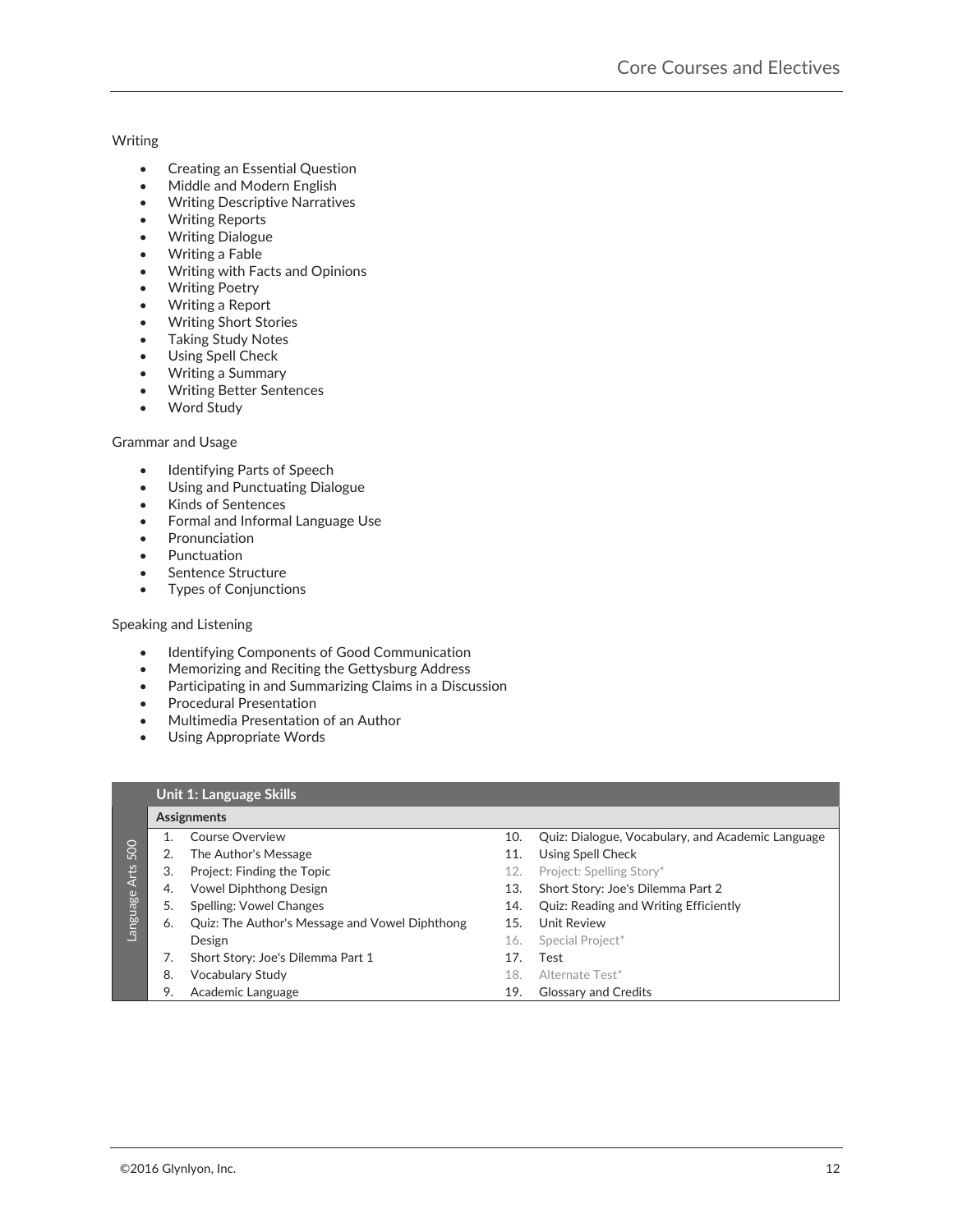## Writing**-**

- Creating an Essential Question
- Middle and Modern English
- Writing Descriptive Narratives
- Writing Reports
- Writing Dialogue
- Writing a Fable
- Writing with Facts and Opinions
- Writing Poetry
- Writing a Report
- Writing Short Stories
- Taking Study Notes
- Using Spell Check
- Writing a Summary
- Writing Better Sentences
- Word Study

#### Grammar and Usage**-**

- Identifying Parts of Speech
- Using and Punctuating Dialogue
- Kinds of Sentences
- Formal and Informal Language Use
- Pronunciation
- Punctuation
- Sentence Structure
- Types of Conjunctions

## Speaking and Listening**-**

- **•** Identifying Components of Good Communication
- Memorizing and Reciting the Gettysburg Address
- **•** Participating in and Summarizing Claims in a Discussion
- **•** Procedural Presentation
- Multimedia Presentation of an Author
- Using Appropriate Words

### **Unit 1: Language Skills**

|               | Assignments |                                                |     |                                                   |
|---------------|-------------|------------------------------------------------|-----|---------------------------------------------------|
|               |             | <b>Course Overview</b>                         | 10. | Quiz: Dialogue, Vocabulary, and Academic Language |
| 500           |             | The Author's Message                           | 11. | Using Spell Check                                 |
|               | 3.          | Project: Finding the Topic                     | 12. | Project: Spelling Story*                          |
|               | 4.          | <b>Vowel Diphthong Design</b>                  | 13. | Short Story: Joe's Dilemma Part 2                 |
| -anguage Arts | 5.          | Spelling: Vowel Changes                        | 14. | <b>Quiz: Reading and Writing Efficiently</b>      |
|               | 6.          | Quiz: The Author's Message and Vowel Diphthong | 15. | Unit Review                                       |
|               |             | Design                                         | 16. | Special Project*                                  |
|               |             | Short Story: Joe's Dilemma Part 1              | 17. | Test                                              |
|               | 8.          | <b>Vocabulary Study</b>                        | 18. | Alternate Test*                                   |
|               | 9.          | Academic Language                              | 19. | <b>Glossary and Credits</b>                       |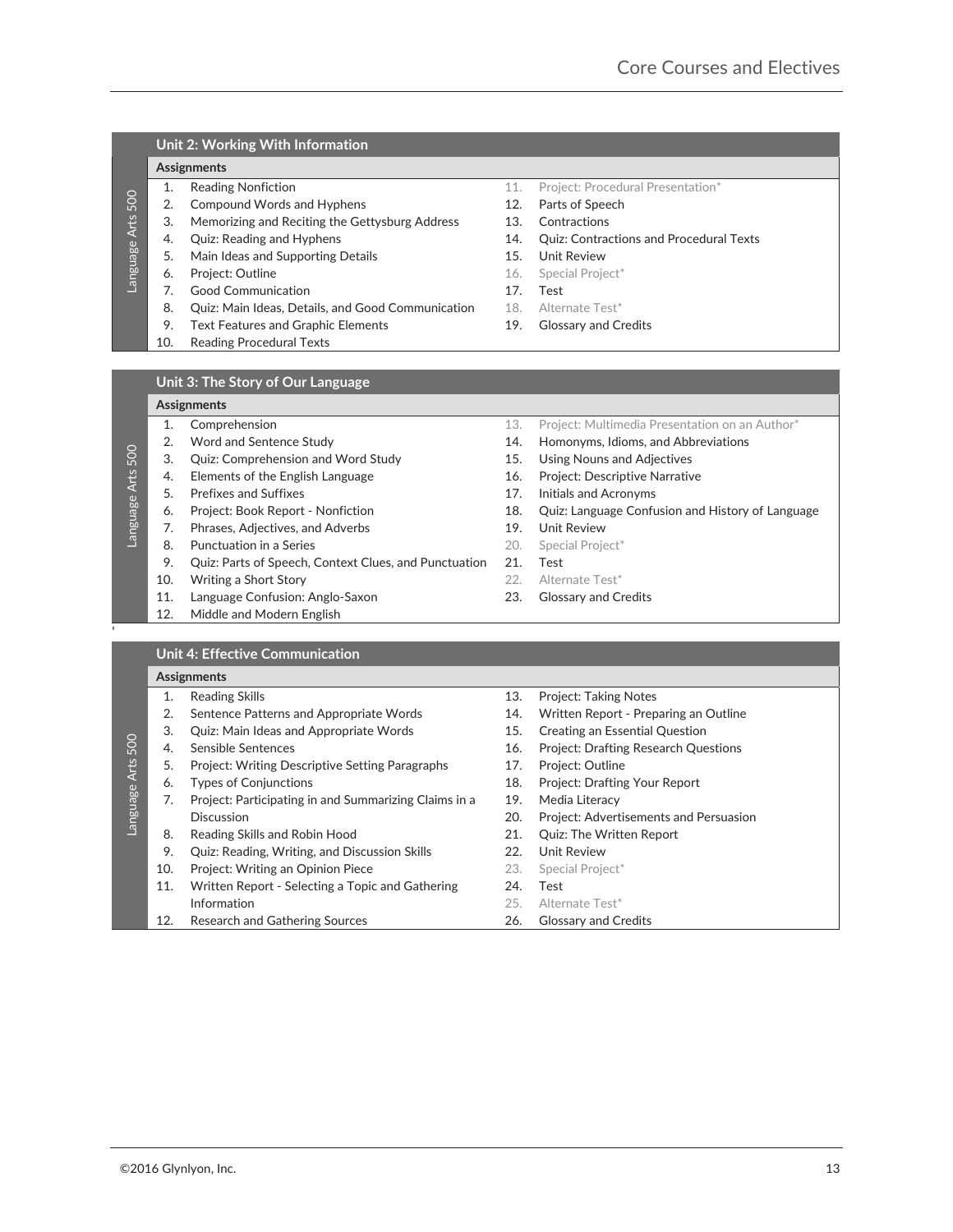## **Unit 2: Working With Information**

#### **Assignments-**

- 
- 2. Compound Words and Hyphens 12. Parts of Speech
- 3. Memorizing and Reciting the Gettysburg Address 213. Contractions
- 
- 5. Main Ideas and Supporting Details 15. Unit Review
- 6. Project: Outline **16. Special Project\***
- 7. Good Communication 17. Test
- 8. Quiz: Main Ideas, Details, and Good Communication 18. Alternate Test\*
- 9. Text Features and Graphic Elements 19. Glossary and Credits
- 10. Reading Procedural Texts-
- 1. Reading Nonfiction 11. Project: Procedural Presentation\*
	-
	-
- 4. Quiz: Reading and Hyphens 14. Quiz: Contractions and Procedural Texts
	-
	-
	-
	-
	-

#### **Unit 3: The Story of Our Language**

#### **Assignments-**

- 
- 
- 
- Language Arts 500
	-
	- 6. Project: Book Report -
	- 7. Phrases, Adjectives, and Adverbs 19. Unit Review
	- 8. Punctuation in a Series **20. Special Project**\*
		- 9. Quiz: Parts of Speech, Context Clues, and Punctuation 21. Test
		- 10. Writing a Short Story **22.** Alternate Test<sup>\*</sup>
		- 11. Language Confusion: Anglo-Saxon 23. Glossary and Credits
		- 12. Middle and Modern English
- 1. Comprehension 13. Project: Multimedia Presentation on an Author\*
- 2. Word and Sentence Study 14. Homonyms, Idioms, and Abbreviations
- 3. Quiz: Comprehension and Word Study 15. Using Nouns and Adjectives
- 4. Elements of the English Language 16. Project: Descriptive Narrative
- 5. Prefixes and Suffixes 17. Initials and Acronyms
	- 18. Quiz: Language Confusion and History of Language
	-
	-
	-
	-
	-

| <b>Unit 4: Effective Communication</b> |  |  |  |  |
|----------------------------------------|--|--|--|--|
|----------------------------------------|--|--|--|--|

## **Assignments-**

- 2. Sentence Patterns and Appropriate Words 14.
- Language Arts 500
	- 5. Project: Writing Descriptive Setting Paragraphs 17. Project: Outline
	-
	- 7. Project: Participating in and Summarizing Claims in a-Discussion 20. Project: Advertisements and Persuasion
	-
	- 9. Quiz: Reading, Writing, and Discussion Skills 22. Unit Review
	- 10. Project: Writing an Opinion Piece 23. Special Project\*
	- 11. Written Report Selecting a Topic and Gathering **Information** 25. Alternate Test<sup>\*</sup> 12. Research and Gathering Sources 26. Glossary and Credits
- 1. Reading Skills 13. Project: Taking Notes
	- Preparing an Outline
- 3. Quiz: Main Ideas and Appropriate Words 15. Creating an Essential Question
- 4. Sensible Sentences 16. Project: Drafting Research Questions

Content Works and Flooring the complete proposes of the Content Science of the Content Science of the Content Science of the Content Science of the Content Science of the Content Science of the Content Science of the Cont 6. Types of Conjunctions 18. Project: Drafting Your Report 19. Media Literacy 8. Reading Skills and Robin Hood 21. Quiz: The Written Report 24. Test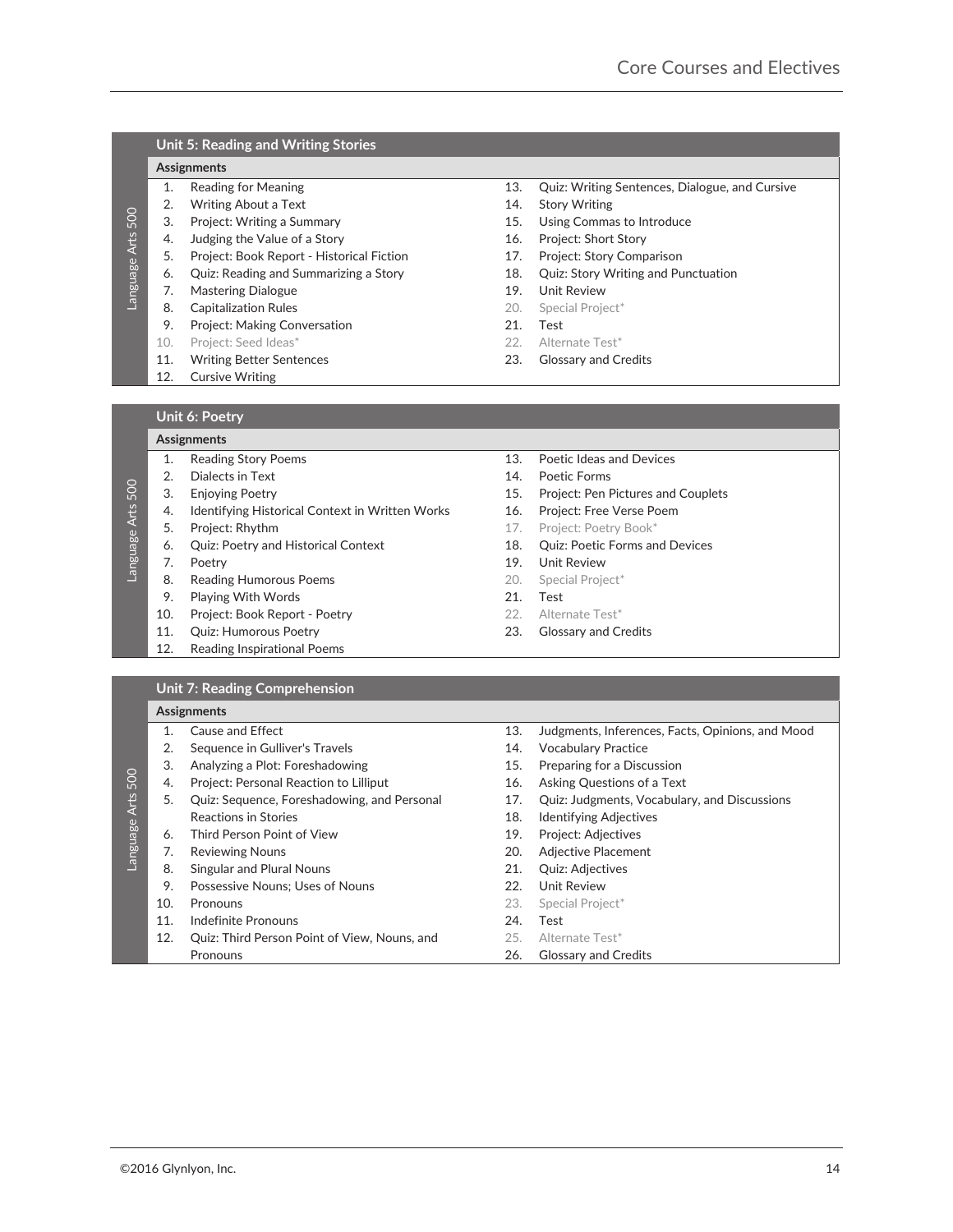## **Unit 5: Reading and Writing Stories**

#### **Assignments-**

- 
- 2. Writing About a Text 14. Story Writing
- 
- 4. Judging the Value of a Story **16. Project: Short Story**
- 5. Project: Book Report -
- 
- 7. Mastering Dialogue 19. Unit Review
- 8. Capitalization Rules 20. Special Project\*
- 9. Project: Making Conversation 21. Test
- 10. Project: Seed Ideas\* 22. Alternate Test\*
- 11. Writing Better Sentences 23. Glossary and Credits
- 12. Cursive Writing
- 1. Reading for Meaning 13. Quiz: Writing Sentences, Dialogue, and Cursive
	-
- 3. Project: Writing a Summary 15. Using Commas to Introduce
	-
	- 17. Project: Story Comparison
- 6. Quiz: Reading and Summarizing a Story 18. Quiz: Story Writing and Punctuation
	-
	-
	-
	-
	-

## **Unit 6: Poetry**

## **Assignments-**

| Reading Story Poer |  |
|--------------------|--|

- 2. Dialects in Text 2. Dialects in Text 2. Poetic Forms
- 
- Language Arts 500 4. Identifying Historical Context in Written Works 16. Project: Free Verse Poem
	-
	- 6. Quiz: Poetry and Historical Context 18. Quiz: Poetic Forms and Devices
	- - 8. Reading Humorous Poems 20. Special Project\*
	- 9. Playing With Words 21. Test
	- 10. Project: Book Report -
	- 11. Quiz: Humorous Poetry **23. Glossary and Credits**
	- 12. Reading Inspirational Poems-
- ns and Devices 13. Poetic Ideas and Devices
	-
- 3. Enjoying Poetry 15. Project: Pen Pictures and Couplets
	-
- 5. Project: Rhythm **17. Project: Poetry Book\*** 
	-
- 7. Poetry 2008 and 2009 and 2009 and 2009 and 2010 and 2010 and 2010 and 2011 and 2010 and 2011 and 2011 and 201
	-
	-
	- 22. Alternate Test\*
	-

#### **Unit 7: Reading Comprehension**

| Language Arts 500 | 3.<br>4. | Project: Writing a Summary                               |            |                                                  |
|-------------------|----------|----------------------------------------------------------|------------|--------------------------------------------------|
|                   |          |                                                          | 15.        | Using Commas to Introduce                        |
|                   |          | Judging the Value of a Story                             | 16.        | Project: Short Story                             |
|                   | 5.       | Project: Book Report - Historical Fiction                | 17.        | Project: Story Comparison                        |
|                   | 6.       | Quiz: Reading and Summarizing a Story                    | 18.        | Quiz: Story Writing and Punctuation              |
|                   | 7.       | <b>Mastering Dialogue</b>                                | 19.        | <b>Unit Review</b>                               |
|                   | 8.       | <b>Capitalization Rules</b>                              | 20.        | Special Project*                                 |
|                   | 9.       | Project: Making Conversation                             | 21.        | Test                                             |
|                   | 10.      | Project: Seed Ideas*                                     | 22.        | Alternate Test*                                  |
|                   | 11.      | <b>Writing Better Sentences</b>                          | 23.        | <b>Glossary and Credits</b>                      |
|                   | 12.      | <b>Cursive Writing</b>                                   |            |                                                  |
|                   |          |                                                          |            |                                                  |
|                   |          | <b>Unit 6: Poetry</b>                                    |            |                                                  |
|                   |          |                                                          |            |                                                  |
|                   |          | Assignments                                              |            |                                                  |
|                   | 1.       | <b>Reading Story Poems</b>                               | 13.        | Poetic Ideas and Devices                         |
|                   | 2.       | Dialects in Text                                         | 14.        | Poetic Forms                                     |
|                   | 3.       | <b>Enjoying Poetry</b>                                   | 15.        | Project: Pen Pictures and Couplets               |
|                   | 4.       | Identifying Historical Context in Written Works          | 16.        | Project: Free Verse Poem                         |
| Language Arts 500 | 5.       | Project: Rhythm                                          | 17.        | Project: Poetry Book*                            |
|                   | 6.       | Quiz: Poetry and Historical Context                      | 18.        | Quiz: Poetic Forms and Devices                   |
|                   | 7.       | Poetry                                                   | 19.        | Unit Review                                      |
|                   | 8.       | Reading Humorous Poems                                   | 20.        | Special Project*                                 |
|                   | 9.       | Playing With Words                                       | 21.        | Test                                             |
|                   | 10.      | Project: Book Report - Poetry                            | 22.        | Alternate Test*                                  |
|                   | 11.      | <b>Quiz: Humorous Poetry</b>                             | 23.        | <b>Glossary and Credits</b>                      |
|                   | 12.      | Reading Inspirational Poems                              |            |                                                  |
|                   |          |                                                          |            |                                                  |
|                   |          |                                                          |            |                                                  |
|                   |          | <b>Unit 7: Reading Comprehension</b>                     |            |                                                  |
|                   |          | Assignments                                              |            |                                                  |
|                   | 1.       |                                                          |            |                                                  |
|                   |          | <b>Cause and Effect</b>                                  | 13.        | Judgments, Inferences, Facts, Opinions, and Mood |
|                   | 2.       | Sequence in Gulliver's Travels                           | 14.        | <b>Vocabulary Practice</b>                       |
|                   | 3.       | Analyzing a Plot: Foreshadowing                          | 15.        | Preparing for a Discussion                       |
|                   | 4.       | Project: Personal Reaction to Lilliput                   | 16.        | Asking Questions of a Text                       |
|                   | 5.       | Quiz: Sequence, Foreshadowing, and Personal              | 17.        | Quiz: Judgments, Vocabulary, and Discussions     |
|                   |          | <b>Reactions in Stories</b>                              | 18.        | <b>Identifying Adjectives</b>                    |
|                   | 6.       | Third Person Point of View                               | 19.        | Project: Adjectives                              |
|                   | 7.       | <b>Reviewing Nouns</b>                                   | 20.        | Adjective Placement                              |
| Language Arts 500 | 8.       | Singular and Plural Nouns                                | 21.        | Quiz: Adjectives                                 |
|                   | 9.       | Possessive Nouns; Uses of Nouns                          | 22.        | <b>Unit Review</b>                               |
|                   | 10.      | Pronouns                                                 | 23.        | Special Project*                                 |
|                   | 11.      | <b>Indefinite Pronouns</b>                               | 24.        | Test                                             |
|                   | 12.      | Quiz: Third Person Point of View, Nouns, and<br>Pronouns | 25.<br>26. | Alternate Test*<br><b>Glossary and Credits</b>   |